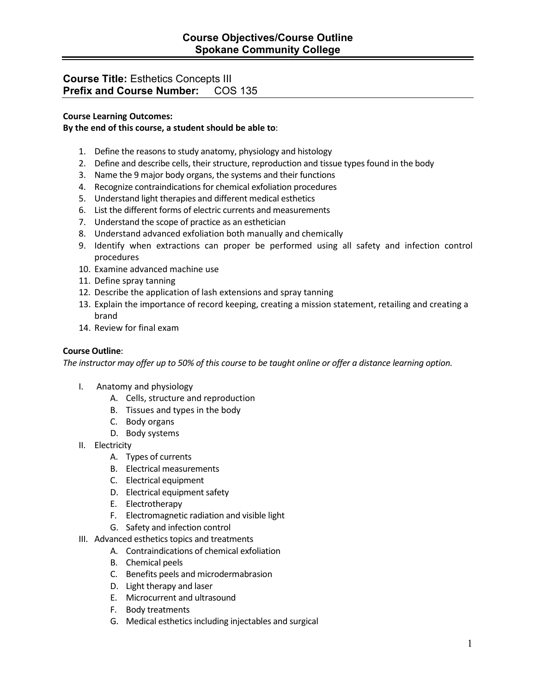# **Course Title:** Esthetics Concepts III **Prefix and Course Number: COS 135**

### **Course Learning Outcomes:**

### **By the end of this course, a student should be able to**:

- 1. Define the reasons to study anatomy, physiology and histology
- 2. Define and describe cells, their structure, reproduction and tissue types found in the body
- 3. Name the 9 major body organs, the systems and their functions
- 4. Recognize contraindications for chemical exfoliation procedures
- 5. Understand light therapies and different medical esthetics
- 6. List the different forms of electric currents and measurements
- 7. Understand the scope of practice as an esthetician
- 8. Understand advanced exfoliation both manually and chemically
- 9. Identify when extractions can proper be performed using all safety and infection control procedures
- 10. Examine advanced machine use
- 11. Define spray tanning
- 12. Describe the application of lash extensions and spray tanning
- 13. Explain the importance of record keeping, creating a mission statement, retailing and creating a brand
- 14. Review for final exam

#### **Course Outline**:

*The instructor may offer up to 50% of this course to be taught online or offer a distance learning option.*

- I. Anatomy and physiology
	- A. Cells, structure and reproduction
	- B. Tissues and types in the body
	- C. Body organs
	- D. Body systems
- II. Electricity
	- A. Types of currents
	- B. Electrical measurements
	- C. Electrical equipment
	- D. Electrical equipment safety
	- E. Electrotherapy
	- F. Electromagnetic radiation and visible light
	- G. Safety and infection control
- III. Advanced esthetics topics and treatments
	- A. Contraindications of chemical exfoliation
	- B. Chemical peels
	- C. Benefits peels and microdermabrasion
	- D. Light therapy and laser
	- E. Microcurrent and ultrasound
	- F. Body treatments
	- G. Medical esthetics including injectables and surgical